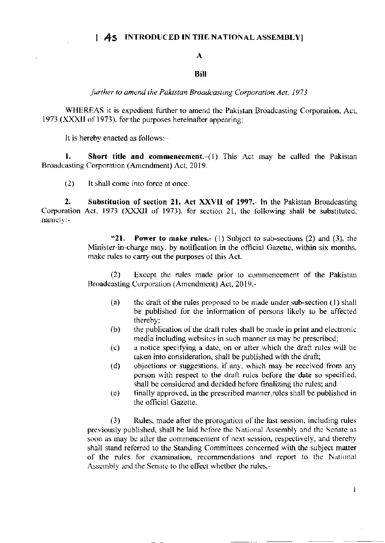# **AS INTRODUCED IN THE NATIONAL ASSEMBLY**

### $\mathbf{A}$

## **Bill**

further to amend the Pakistan Broadcasting Corporation Act, 1973

WHEREAS it is expedient further to amend the Pakistan Broadcasting Corporation, Act, 1973 (XXXII of 1973), for the purposes hereinafter appearing;

It is hereby enacted as follows:-

1. **Short title and commencement.**  $-(1)$  This Act may be called the Pakistan Broadcasting Corporation (Amendment) Act, 2019.

 $(2)$ It shall come into force at once.

 $\mathbf{2}$ Substitution of section 21, Act XXVII of 1997.- In the Pakistan Broadcasting Corporation Act, 1973 (XXXII of 1973), for section 21, the following shall be substituted, namely:-

> $"21.$ **Power to make rules.** (1) Subject to sub-sections (2) and (3), the Minister-in-charge may, by notification in the official Gazette, within six months, make rules to carry out the purposes of this Act.

> Except the rules made prior to commencement of the Pakistan  $(2)$ Broadcasting Corporation (Amendment) Act, 2019,-

- the draft of the rules proposed to be made under sub-section (1) shall  $(a)$ be published for the information of persons likely to be affected thereby;
- the publication of the draft rules shall be made in print and electronic  $(b)$ media including websites in such manner as may be prescribed;
- a notice specifying a date, on or after which the draft rules will be  $(c)$ taken into consideration, shall be published with the draft;
- objections or suggestions, if any, which may be received from any  $(d)$ person with respect to the draft rules before the date so specified, shall be considered and decided before finalizing the rules; and
- finally approved, in the prescribed manner, rules shall be published in  $(e)$ the official Gazette.

Rules, made after the prorogation of the last session, including rules  $(3)$ previously published, shall be laid before the National Assembly and the Senate as soon as may be after the commencement of next session, respectively, and thereby shall stand referred to the Standing Committees concerned with the subject matter of the rules for examination, recommendations and report to the National Assembly and the Senate to the effect whether the rules,-

Ĭ.